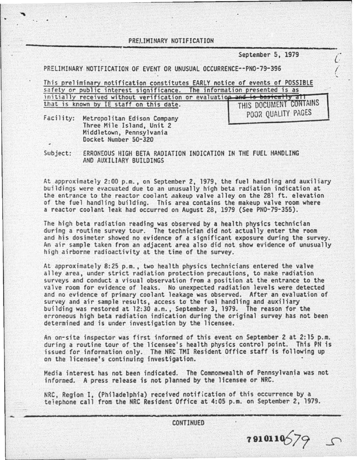PREI.IHINARY NOTIFICATION

September S, 1979

( / '-

---------------------------------~----------------~

PRELIMINARY NOTIFICATION OF EVENT OR UNUSUAL OCCURRENCE--PN0-79-396

This preliminary notification constitutes EARLY notice of events of POSSIBLE safety or public interest significance. The information presented is as initially received without verification or evaluation and is basically all that is known by IE staff on this date. THIS DOCUMENT CONTAINS POOR OUALITY PAGES

Faci 1 ity: Metropolitan Edison Company Three Mile Island, Unit 2 Middletown, Pennsylvania Docket Number 50-320

Subject: ERRONEOUS HIGH BETA RADIATION INDICATION IN THE FUEL HANDLING AND AUXILIARY BUILDINGS

At approximately 2:00 p.m., on September 2, 1979, the fuel handling and auxiliary<br>buildings were evacuated due to an unusually high beta radiation indication at the entrance to the reactor coolant .nakeup valve alley on the 281 ft. elevation of the fuel handling building. This area contains the makeup valve room where a reactor coolant leak had occurred on August 28, 1979 (See PN0-79-355).

The high beta radiation reading was observed by a health physics technician during a routine survey tour. The technician did not actually enter the room<br>and his dosimeter showed no evidence of a significant exposure during the survey. An air sample taken from an adjacent area also did not show evidence of unusually<br>high airborne radioactivity at the time of the survey.

At approximately 8:25 p.m., two health physics technicians entered the valve alley area, under strict radiation protection precautions, to make radiation surveys and conduct a visual observation from a position at the entrance to the valve room for evidence of leaks. No unexpected radiation levels were detected and no evidence of primary coolant leakage was observed. After an evaluation of building was restored at 12:30 a.m., September 3, 1979. The reason for the erroneous high beta radiation indication during the original survey has not been determined and is under investigation by the licensee.

An on-site inspector was first informed of this event on September 2 at 2:15 p.m. during a routine tour of the licensee's health physics control point. This PN is issued for information only. The NRC TMI Resident Office staff is following up on the licensee's continuing investigation. •

Media interest has not been indicated. The Commonwealth of Pennsylvania was not informed. A press release is not planned by the licensee or NRC.

NRC, Region I, (Philadelphia) received notification of this occurrence by a telephone call from the NRC Resident Office at 4:05 p.m. on September 2, 1979.

 **.**  $\blacksquare$ 

 $7910110579$